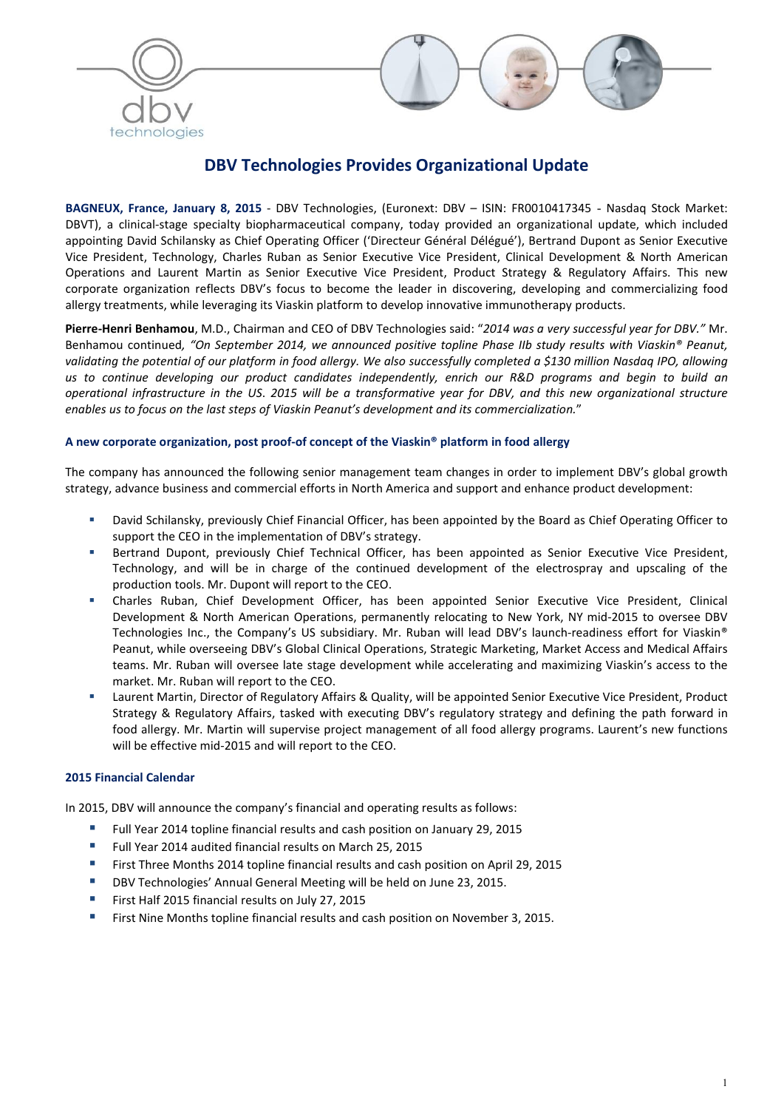



# DBV Technologies Provides Organizational Update

BAGNEUX, France, January 8, 2015 - DBV Technologies, (Euronext: DBV – ISIN: FR0010417345 - Nasdaq Stock Market: DBVT), a clinical-stage specialty biopharmaceutical company, today provided an organizational update, which included appointing David Schilansky as Chief Operating Officer ('Directeur Général Délégué'), Bertrand Dupont as Senior Executive Vice President, Technology, Charles Ruban as Senior Executive Vice President, Clinical Development & North American Operations and Laurent Martin as Senior Executive Vice President, Product Strategy & Regulatory Affairs. This new corporate organization reflects DBV's focus to become the leader in discovering, developing and commercializing food allergy treatments, while leveraging its Viaskin platform to develop innovative immunotherapy products.

Pierre-Henri Benhamou, M.D., Chairman and CEO of DBV Technologies said: "*2014 was a very successful year for DBV."* Mr. Benhamou continued*, "On September 2014, we announced positive topline Phase IIb study results with Viaskin® Peanut, validating the potential of our platform in food allergy. We also successfully completed a \$130 million Nasdaq IPO, allowing us to continue developing our product candidates independently, enrich our R&D programs and begin to build an operational infrastructure in the US*. *2015 will be a transformative year for DBV, and this new organizational structure enables us to focus on the last steps of Viaskin Peanut's development and its commercialization.*"

## A new corporate organization, post proof-of concept of the Viaskin® platform in food allergy

The company has announced the following senior management team changes in order to implement DBV's global growth strategy, advance business and commercial efforts in North America and support and enhance product development:

- David Schilansky, previously Chief Financial Officer, has been appointed by the Board as Chief Operating Officer to support the CEO in the implementation of DBV's strategy.
- Bertrand Dupont, previously Chief Technical Officer, has been appointed as Senior Executive Vice President, Technology, and will be in charge of the continued development of the electrospray and upscaling of the production tools. Mr. Dupont will report to the CEO.
- Charles Ruban, Chief Development Officer, has been appointed Senior Executive Vice President, Clinical Development & North American Operations, permanently relocating to New York, NY mid-2015 to oversee DBV Technologies Inc., the Company's US subsidiary. Mr. Ruban will lead DBV's launch-readiness effort for Viaskin® Peanut, while overseeing DBV's Global Clinical Operations, Strategic Marketing, Market Access and Medical Affairs teams. Mr. Ruban will oversee late stage development while accelerating and maximizing Viaskin's access to the market. Mr. Ruban will report to the CEO.
- Laurent Martin, Director of Regulatory Affairs & Quality, will be appointed Senior Executive Vice President, Product Strategy & Regulatory Affairs, tasked with executing DBV's regulatory strategy and defining the path forward in food allergy. Mr. Martin will supervise project management of all food allergy programs. Laurent's new functions will be effective mid-2015 and will report to the CEO.

# 2015 Financial Calendar

In 2015, DBV will announce the company's financial and operating results as follows:

- Full Year 2014 topline financial results and cash position on January 29, 2015
- Full Year 2014 audited financial results on March 25, 2015
- First Three Months 2014 topline financial results and cash position on April 29, 2015
- DBV Technologies' Annual General Meeting will be held on June 23, 2015.
- First Half 2015 financial results on July 27, 2015
- First Nine Months topline financial results and cash position on November 3, 2015.